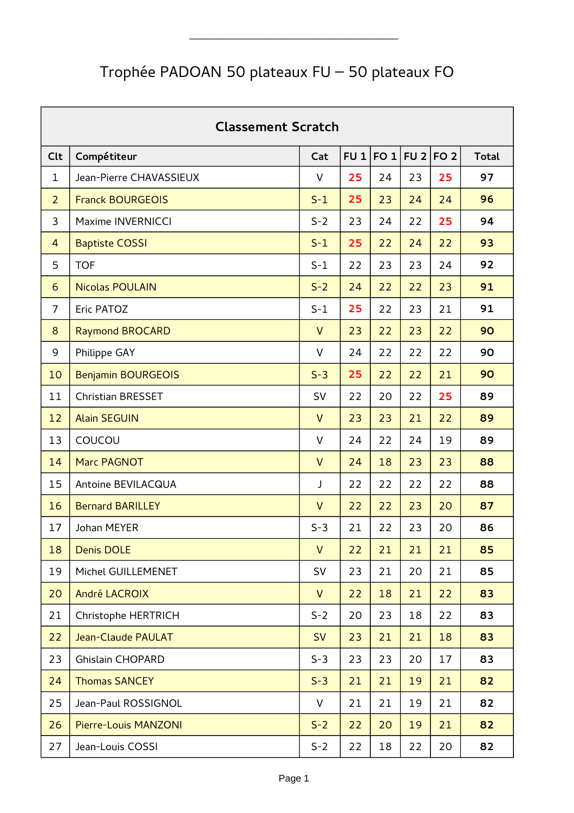## Trophée PADOAN 50 plateaux FU – 50 plateaux FO

|                | <b>Classement Scratch</b> |              |     |      |                 |                 |              |  |  |  |  |  |
|----------------|---------------------------|--------------|-----|------|-----------------|-----------------|--------------|--|--|--|--|--|
| <b>Clt</b>     | Compétiteur               | Cat          | FU1 | FO 1 | FU <sub>2</sub> | FO <sub>2</sub> | <b>Total</b> |  |  |  |  |  |
| $\mathbf 1$    | Jean-Pierre CHAVASSIEUX   | $\vee$       | 25  | 24   | 23              | 25              | 97           |  |  |  |  |  |
| $\overline{2}$ | <b>Franck BOURGEOIS</b>   | $S-1$        | 25  | 23   | 24              | 24              | 96           |  |  |  |  |  |
| 3              | <b>Maxime INVERNICCI</b>  | $S-2$        | 23  | 24   | 22              | 25              | 94           |  |  |  |  |  |
| 4              | <b>Baptiste COSSI</b>     | $S-1$        | 25  | 22   | 24              | 22              | 93           |  |  |  |  |  |
| 5              | <b>TOF</b>                | $S-1$        | 22  | 23   | 23              | 24              | 92           |  |  |  |  |  |
| 6              | <b>Nicolas POULAIN</b>    | $S-2$        | 24  | 22   | 22              | 23              | 91           |  |  |  |  |  |
| $\overline{7}$ | Eric PATOZ                | $S-1$        | 25  | 22   | 23              | 21              | 91           |  |  |  |  |  |
| 8              | <b>Raymond BROCARD</b>    | $\vee$       | 23  | 22   | 23              | 22              | 90           |  |  |  |  |  |
| 9              | Philippe GAY              | V            | 24  | 22   | 22              | 22              | 90           |  |  |  |  |  |
| 10             | <b>Benjamin BOURGEOIS</b> | $S-3$        | 25  | 22   | 22              | 21              | 90           |  |  |  |  |  |
| 11             | <b>Christian BRESSET</b>  | SV           | 22  | 20   | 22              | 25              | 89           |  |  |  |  |  |
| 12             | <b>Alain SEGUIN</b>       | $\vee$       | 23  | 23   | 21              | 22              | 89           |  |  |  |  |  |
| 13             | COUCOU                    | V            | 24  | 22   | 24              | 19              | 89           |  |  |  |  |  |
| 14             | Marc PAGNOT               | $\vee$       | 24  | 18   | 23              | 23              | 88           |  |  |  |  |  |
| 15             | <b>Antoine BEVILACQUA</b> | J            | 22  | 22   | 22              | 22              | 88           |  |  |  |  |  |
| 16             | <b>Bernard BARILLEY</b>   | $\vee$       | 22  | 22   | 23              | 20              | 87           |  |  |  |  |  |
| 17             | <b>Johan MEYER</b>        | $S-3$        | 21  | 22   | 23              | 20              | 86           |  |  |  |  |  |
| 18             | <b>Denis DOLE</b>         | $\mathsf{V}$ | 22  | 21   | 21              | 21              | 85           |  |  |  |  |  |
| 19             | Michel GUILLEMENET        | SV           | 23  | 21   | 20              | 21              | 85           |  |  |  |  |  |
| 20             | André LACROIX             | $\mathsf{V}$ | 22  | 18   | 21              | 22              | 83           |  |  |  |  |  |
| 21             | Christophe HERTRICH       | $S-2$        | 20  | 23   | 18              | 22              | 83           |  |  |  |  |  |
| 22             | Jean-Claude PAULAT        | <b>SV</b>    | 23  | 21   | 21              | 18              | 83           |  |  |  |  |  |
| 23             | <b>Ghislain CHOPARD</b>   | $S-3$        | 23  | 23   | 20              | 17              | 83           |  |  |  |  |  |
| 24             | <b>Thomas SANCEY</b>      | $S-3$        | 21  | 21   | 19              | 21              | 82           |  |  |  |  |  |
| 25             | Jean-Paul ROSSIGNOL       | V            | 21  | 21   | 19              | 21              | 82           |  |  |  |  |  |
| 26             | Pierre-Louis MANZONI      | $S-2$        | 22  | 20   | 19              | 21              | 82           |  |  |  |  |  |
| 27             | Jean-Louis COSSI          | $S-2$        | 22  | 18   | 22              | 20              | 82           |  |  |  |  |  |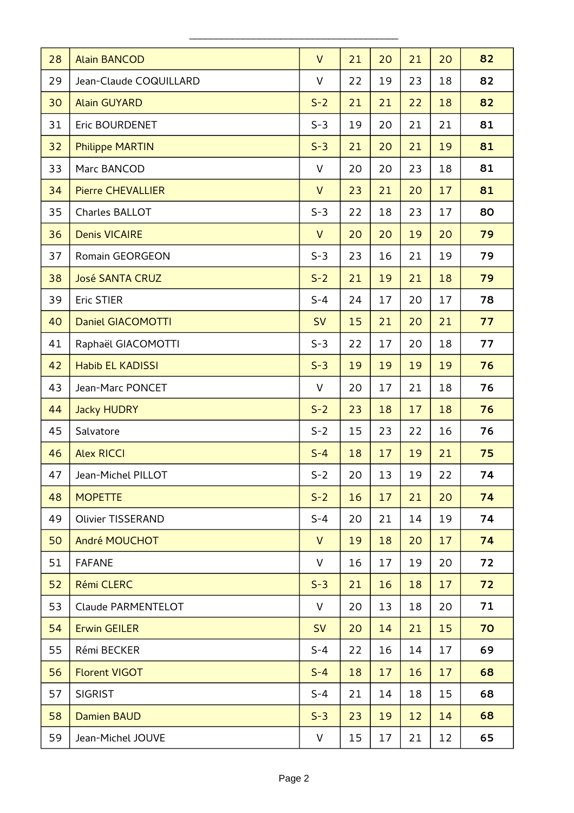| 28 | <b>Alain BANCOD</b>      | $\vee$       | 21 | 20 | 21 | 20 | 82 |
|----|--------------------------|--------------|----|----|----|----|----|
| 29 | Jean-Claude COQUILLARD   | V            | 22 | 19 | 23 | 18 | 82 |
| 30 | <b>Alain GUYARD</b>      | $S-2$        | 21 | 21 | 22 | 18 | 82 |
| 31 | Eric BOURDENET           | $S-3$        | 19 | 20 | 21 | 21 | 81 |
| 32 | <b>Philippe MARTIN</b>   | $S-3$        | 21 | 20 | 21 | 19 | 81 |
| 33 | Marc BANCOD              | V            | 20 | 20 | 23 | 18 | 81 |
| 34 | <b>Pierre CHEVALLIER</b> | $\mathsf{V}$ | 23 | 21 | 20 | 17 | 81 |
| 35 | Charles BALLOT           | $S-3$        | 22 | 18 | 23 | 17 | 80 |
| 36 | <b>Denis VICAIRE</b>     | $\vee$       | 20 | 20 | 19 | 20 | 79 |
| 37 | Romain GEORGEON          | $S-3$        | 23 | 16 | 21 | 19 | 79 |
| 38 | <b>José SANTA CRUZ</b>   | $S-2$        | 21 | 19 | 21 | 18 | 79 |
| 39 | <b>Eric STIER</b>        | $S - 4$      | 24 | 17 | 20 | 17 | 78 |
| 40 | <b>Daniel GIACOMOTTI</b> | <b>SV</b>    | 15 | 21 | 20 | 21 | 77 |
| 41 | Raphaël GIACOMOTTI       | $S-3$        | 22 | 17 | 20 | 18 | 77 |
| 42 | <b>Habib EL KADISSI</b>  | $S-3$        | 19 | 19 | 19 | 19 | 76 |
| 43 | Jean-Marc PONCET         | V            | 20 | 17 | 21 | 18 | 76 |
| 44 | <b>Jacky HUDRY</b>       | $S-2$        | 23 | 18 | 17 | 18 | 76 |
| 45 | Salvatore                | $S-2$        | 15 | 23 | 22 | 16 | 76 |
| 46 | <b>Alex RICCI</b>        | $S - 4$      | 18 | 17 | 19 | 21 | 75 |
| 47 | Jean-Michel PILLOT       | $S-2$        | 20 | 13 | 19 | 22 | 74 |
| 48 | <b>MOPETTE</b>           | $S-2$        | 16 | 17 | 21 | 20 | 74 |
| 49 | <b>Olivier TISSERAND</b> | $S - 4$      | 20 | 21 | 14 | 19 | 74 |
| 50 | André MOUCHOT            | $\mathsf{V}$ | 19 | 18 | 20 | 17 | 74 |
| 51 | <b>FAFANE</b>            | V            | 16 | 17 | 19 | 20 | 72 |
| 52 | Rémi CLERC               | $S-3$        | 21 | 16 | 18 | 17 | 72 |
| 53 | Claude PARMENTELOT       | $\vee$       | 20 | 13 | 18 | 20 | 71 |
| 54 | <b>Erwin GEILER</b>      | <b>SV</b>    | 20 | 14 | 21 | 15 | 70 |
| 55 | Rémi BECKER              | $S - 4$      | 22 | 16 | 14 | 17 | 69 |
| 56 | <b>Florent VIGOT</b>     | $S - 4$      | 18 | 17 | 16 | 17 | 68 |
| 57 | <b>SIGRIST</b>           | $S - 4$      | 21 | 14 | 18 | 15 | 68 |
| 58 | <b>Damien BAUD</b>       | $S-3$        | 23 | 19 | 12 | 14 | 68 |
| 59 | Jean-Michel JOUVE        | V            | 15 | 17 | 21 | 12 | 65 |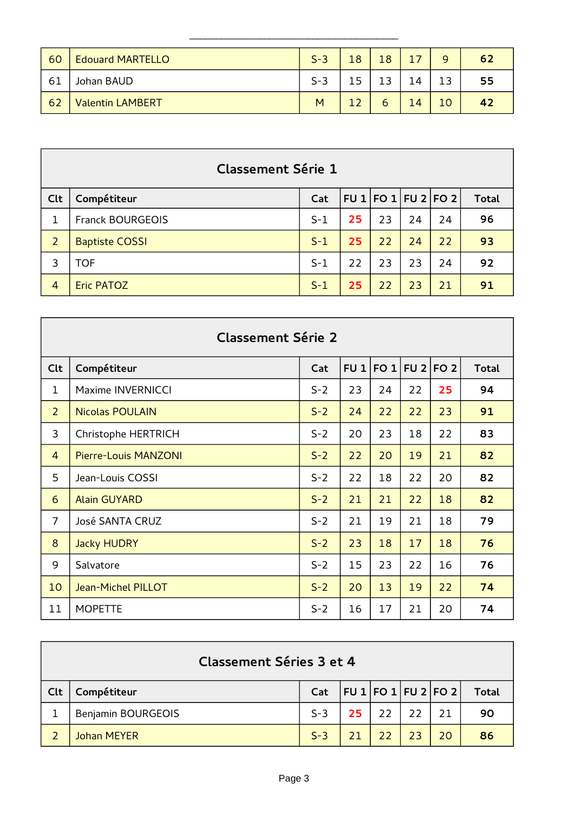| 60 <sub>1</sub> | <b>Edouard MARTELLO</b> | $S-3$ | 18 | 18 |    | a   | 62 |
|-----------------|-------------------------|-------|----|----|----|-----|----|
| -61             | Johan BAUD              | $S-3$ | 15 |    | 14 | 1 2 | 55 |
| 62              | <b>Valentin LAMBERT</b> | M     | 12 | ь  | 14 | 10  | 42 |

|                | <b>Classement Série 1</b> |       |    |                           |    |    |              |  |  |  |  |
|----------------|---------------------------|-------|----|---------------------------|----|----|--------------|--|--|--|--|
| Clt            | Compétiteur               | Cat   |    | FU 1   FO 1   FU 2   FO 2 |    |    | <b>Total</b> |  |  |  |  |
| 1              | <b>Franck BOURGEOIS</b>   | $S-1$ | 25 | 23                        | 24 | 24 | 96           |  |  |  |  |
| $\overline{2}$ | <b>Baptiste COSSI</b>     | $S-1$ | 25 | 22                        | 24 | 22 | 93           |  |  |  |  |
| 3              | <b>TOF</b>                | $S-1$ | 22 | 23                        | 23 | 24 | 92           |  |  |  |  |
| $\overline{4}$ | <b>Eric PATOZ</b>         | $S-1$ | 25 | 22                        | 23 | 21 | 91           |  |  |  |  |

| <b>Classement Série 2</b> |                             |       |    |                     |    |    |              |  |  |  |  |
|---------------------------|-----------------------------|-------|----|---------------------|----|----|--------------|--|--|--|--|
| Clt                       | Compétiteur                 | Cat   |    | FU 1 FO 1 FU 2 FO 2 |    |    | <b>Total</b> |  |  |  |  |
| $\mathbf 1$               | Maxime INVERNICCI           | $S-2$ | 23 | 24                  | 22 | 25 | 94           |  |  |  |  |
| $\overline{2}$            | <b>Nicolas POULAIN</b>      | $S-2$ | 24 | 22                  | 22 | 23 | 91           |  |  |  |  |
| 3                         | Christophe HERTRICH         | $S-2$ | 20 | 23                  | 18 | 22 | 83           |  |  |  |  |
| $\overline{4}$            | <b>Pierre-Louis MANZONI</b> | $S-2$ | 22 | 20                  | 19 | 21 | 82           |  |  |  |  |
| 5                         | Jean-Louis COSSI            | $S-2$ | 22 | 18                  | 22 | 20 | 82           |  |  |  |  |
| 6                         | <b>Alain GUYARD</b>         | $S-2$ | 21 | 21                  | 22 | 18 | 82           |  |  |  |  |
| $\overline{7}$            | José SANTA CRUZ             | $S-2$ | 21 | 19                  | 21 | 18 | 79           |  |  |  |  |
| 8                         | <b>Jacky HUDRY</b>          | $S-2$ | 23 | 18                  | 17 | 18 | 76           |  |  |  |  |
| 9                         | Salvatore                   | $S-2$ | 15 | 23                  | 22 | 16 | 76           |  |  |  |  |
| 10                        | <b>Jean-Michel PILLOT</b>   | $S-2$ | 20 | 13                  | 19 | 22 | 74           |  |  |  |  |
| 11                        | <b>MOPETTE</b>              | $S-2$ | 16 | 17                  | 21 | 20 | 74           |  |  |  |  |

|     | Classement Séries 3 et 4  |                                         |    |              |    |    |              |  |  |  |  |
|-----|---------------------------|-----------------------------------------|----|--------------|----|----|--------------|--|--|--|--|
| Clt | Compétiteur               | Cat   FU $1$   FO $1$   FU $2$   FO $2$ |    |              |    |    | <b>Total</b> |  |  |  |  |
|     | <b>Benjamin BOURGEOIS</b> | $S-3$                                   |    | $25 \mid 22$ | 22 | 21 | 90           |  |  |  |  |
|     | <b>Johan MEYER</b>        | $S-3$                                   | 21 | $\sqrt{22}$  | 23 | 20 | 86           |  |  |  |  |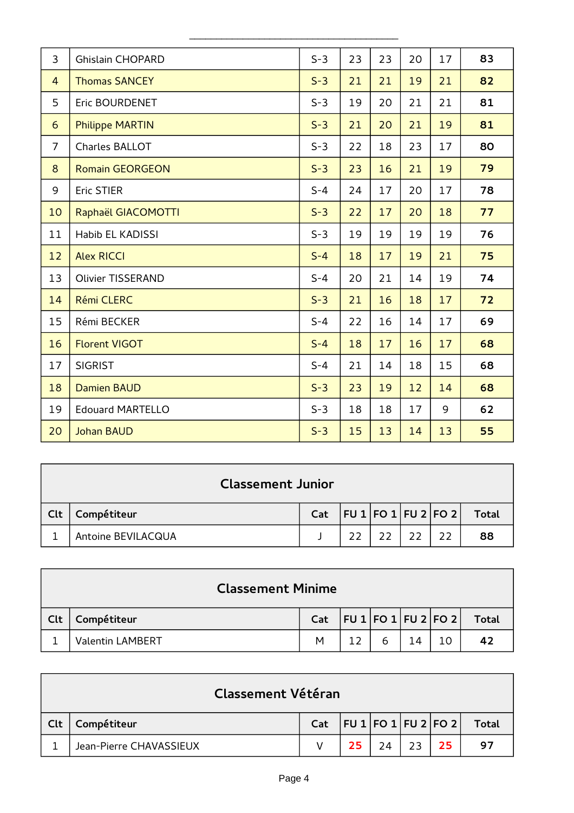| 3              | <b>Ghislain CHOPARD</b>  | $S-3$   | 23 | 23 | 20 | 17 | 83 |
|----------------|--------------------------|---------|----|----|----|----|----|
| $\overline{4}$ | <b>Thomas SANCEY</b>     | $S-3$   | 21 | 21 | 19 | 21 | 82 |
| 5              | Eric BOURDENET           | $S-3$   | 19 | 20 | 21 | 21 | 81 |
| 6              | <b>Philippe MARTIN</b>   | $S-3$   | 21 | 20 | 21 | 19 | 81 |
| $\overline{7}$ | Charles BALLOT           | $S-3$   | 22 | 18 | 23 | 17 | 80 |
| 8              | <b>Romain GEORGEON</b>   | $S-3$   | 23 | 16 | 21 | 19 | 79 |
| 9              | <b>Eric STIER</b>        | $S - 4$ | 24 | 17 | 20 | 17 | 78 |
| 10             | Raphaël GIACOMOTTI       | $S-3$   | 22 | 17 | 20 | 18 | 77 |
| 11             | <b>Habib EL KADISSI</b>  | $S-3$   | 19 | 19 | 19 | 19 | 76 |
| 12             | <b>Alex RICCI</b>        | $S - 4$ | 18 | 17 | 19 | 21 | 75 |
| 13             | <b>Olivier TISSERAND</b> | $S - 4$ | 20 | 21 | 14 | 19 | 74 |
| 14             | Rémi CLERC               | $S-3$   | 21 | 16 | 18 | 17 | 72 |
| 15             | Rémi BECKER              | $S - 4$ | 22 | 16 | 14 | 17 | 69 |
| 16             | <b>Florent VIGOT</b>     | $S - 4$ | 18 | 17 | 16 | 17 | 68 |
| 17             | <b>SIGRIST</b>           | $S - 4$ | 21 | 14 | 18 | 15 | 68 |
| 18             | <b>Damien BAUD</b>       | $S-3$   | 23 | 19 | 12 | 14 | 68 |
| 19             | <b>Edouard MARTELLO</b>  | $S-3$   | 18 | 18 | 17 | 9  | 62 |
| 20             | <b>Johan BAUD</b>        | $S-3$   | 15 | 13 | 14 | 13 | 55 |

| <b>Classement Junior</b> |                    |     |                 |  |  |  |       |  |  |
|--------------------------|--------------------|-----|-----------------|--|--|--|-------|--|--|
| Clt                      | Compétiteur        | Cat | FU1 FO1 FU2 FO2 |  |  |  | Total |  |  |
|                          | Antoine BEVILACQUA |     | 22              |  |  |  | 88    |  |  |

|     | <b>Classement Minime</b> |                                 |  |   |    |  |       |  |  |  |  |
|-----|--------------------------|---------------------------------|--|---|----|--|-------|--|--|--|--|
| Clt | Compétiteur              | Cat   FU 1   FO 1   FU 2   FO 2 |  |   |    |  | Total |  |  |  |  |
|     | <b>Valentin LAMBERT</b>  | M                               |  | ь | 14 |  |       |  |  |  |  |

|     | <b>Classement Vétéran</b> |                                         |    |    |    |    |       |  |  |  |  |
|-----|---------------------------|-----------------------------------------|----|----|----|----|-------|--|--|--|--|
| Clt | Compétiteur               | Cat   FU $1$   FO $1$   FU $2$   FO $2$ |    |    |    |    | Total |  |  |  |  |
|     | Jean-Pierre CHAVASSIEUX   |                                         | 25 | 24 | 23 | 25 | 97    |  |  |  |  |